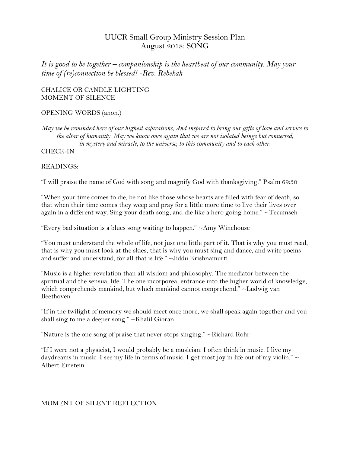# UUCR Small Group Ministry Session Plan August 2018: SONG

*It is good to be together – companionship is the heartbeat of our community. May your time of (re)connection be blessed! -Rev. Rebekah*

### CHALICE OR CANDLE LIGHTING MOMENT OF SILENCE

## OPENING WORDS (anon.)

*May we be reminded here of our highest aspirations, And inspired to bring our gifts of love and service to the altar of humanity. May we know once again that we are not isolated beings but connected, in mystery and miracle, to the universe, to this community and to each other.* 

CHECK-IN

## READINGS:

"I will praise the name of God with song and magnify God with thanksgiving." Psalm 69:30

"When your time comes to die, be not like those whose hearts are filled with fear of death, so that when their time comes they weep and pray for a little more time to live their lives over again in a different way. Sing your death song, and die like a hero going home." ~Tecumseh

"Every bad situation is a blues song waiting to happen." ~Amy Winehouse

"You must understand the whole of life, not just one little part of it. That is why you must read, that is why you must look at the skies, that is why you must sing and dance, and write poems and suffer and understand, for all that is life." ~Jiddu Krishnamurti

"Music is a higher revelation than all wisdom and philosophy. The mediator between the spiritual and the sensual life. The one incorporeal entrance into the higher world of knowledge, which comprehends mankind, but which mankind cannot comprehend." ~Ludwig van Beethoven

"If in the twilight of memory we should meet once more, we shall speak again together and you shall sing to me a deeper song." ~Khalil Gibran

"Nature is the one song of praise that never stops singing." ~Richard Rohr

"If I were not a physicist, I would probably be a musician. I often think in music. I live my daydreams in music. I see my life in terms of music. I get most joy in life out of my violin."  $\sim$ Albert Einstein

#### MOMENT OF SILENT REFLECTION